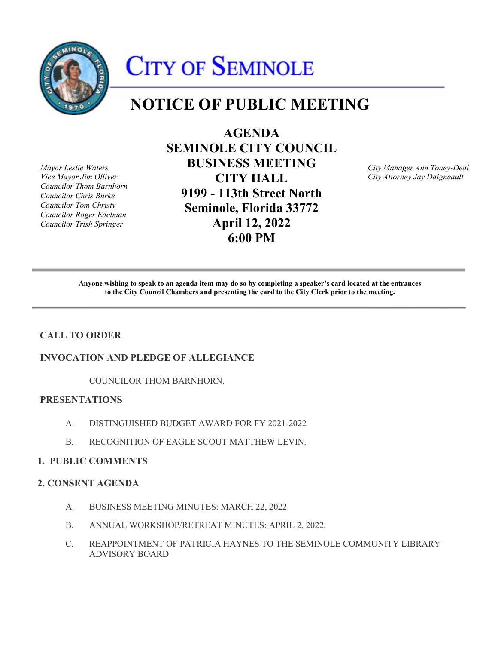

# CITY OF SEMINOLE

# **NOTICE OF PUBLIC MEETING**

*Councilor Thom Barnhorn* 

**AGENDA SEMINOLE CITY COUNCIL**  *Mayor Leslie Waters* **BUSINESS MEETING** *City Manager Ann Toney-Deal Councilor Chris Burke* **9199 - 113th Street North**  *Councilor Tom Christy* **Seminole, Florida 33772** *Councilor Roger Edelman Councilor Trish Springer* **April 12, 2022 6:00 PM** 

*Vice Mayor Jim Olliver* **CITY HALL** *City Attorney Jay Daigneault* 

 **Anyone wishing to speak to an agenda item may do so by completing a speaker's card located at the entrances to the City Council Chambers and presenting the card to the City Clerk prior to the meeting.** 

# **CALL TO ORDER**

# **INVOCATION AND PLEDGE OF ALLEGIANCE**

COUNCILOR THOM BARNHORN.

# **PRESENTATIONS**

- A. DISTINGUISHED BUDGET AWARD FOR FY 2021-2022
- B. RECOGNITION OF EAGLE SCOUT MATTHEW LEVIN.

# **1. PUBLIC COMMENTS**

# **2. CONSENT AGENDA**

- A. BUSINESS MEETING MINUTES: MARCH 22, 2022.
- B. ANNUAL WORKSHOP/RETREAT MINUTES: APRIL 2, 2022.
- C. REAPPOINTMENT OF PATRICIA HAYNES TO THE SEMINOLE COMMUNITY LIBRARY ADVISORY BOARD